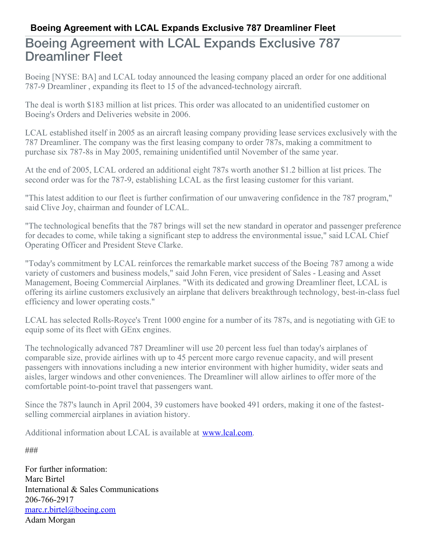## **Boeing Agreement with LCAL Expands Exclusive 787 Dreamliner Fleet**

## Boeing Agreement with LCAL Expands Exclusive 787 Dreamliner Fleet

Boeing [NYSE: BA] and LCAL today announced the leasing company placed an order for one additional 787-9 Dreamliner , expanding its fleet to 15 of the advanced-technology aircraft.

The deal is worth \$183 million at list prices. This order was allocated to an unidentified customer on Boeing's Orders and Deliveries website in 2006.

LCAL established itself in 2005 as an aircraft leasing company providing lease services exclusively with the 787 Dreamliner. The company was the first leasing company to order 787s, making a commitment to purchase six 787-8s in May 2005, remaining unidentified until November of the same year.

At the end of 2005, LCAL ordered an additional eight 787s worth another \$1.2 billion at list prices. The second order was for the 787-9, establishing LCAL as the first leasing customer for this variant.

"This latest addition to our fleet is further confirmation of our unwavering confidence in the 787 program," said Clive Joy, chairman and founder of LCAL.

"The technological benefits that the 787 brings will set the new standard in operator and passenger preference for decades to come, while taking a significant step to address the environmental issue," said LCAL Chief Operating Officer and President Steve Clarke.

"Today's commitment by LCAL reinforces the remarkable market success of the Boeing 787 among a wide variety of customers and business models," said John Feren, vice president of Sales - Leasing and Asset Management, Boeing Commercial Airplanes. "With its dedicated and growing Dreamliner fleet, LCAL is offering its airline customers exclusively an airplane that delivers breakthrough technology, best-in-class fuel efficiency and lower operating costs."

LCAL has selected Rolls-Royce's Trent 1000 engine for a number of its 787s, and is negotiating with GE to equip some of its fleet with GEnx engines.

The technologically advanced 787 Dreamliner will use 20 percent less fuel than today's airplanes of comparable size, provide airlines with up to 45 percent more cargo revenue capacity, and will present passengers with innovations including a new interior environment with higher humidity, wider seats and aisles, larger windows and other conveniences. The Dreamliner will allow airlines to offer more of the comfortable point-to-point travel that passengers want.

Since the 787's launch in April 2004, 39 customers have booked 491 orders, making it one of the fastestselling commercial airplanes in aviation history.

Additional information about LCAL is available at [www.lcal.com](http://www.lcal.com).

###

For further information: Marc Birtel International & Sales Communications 206-766-2917 [marc.r.birtel@boeing.com](mailto:marc.r.birtel@boeing.com) Adam Morgan